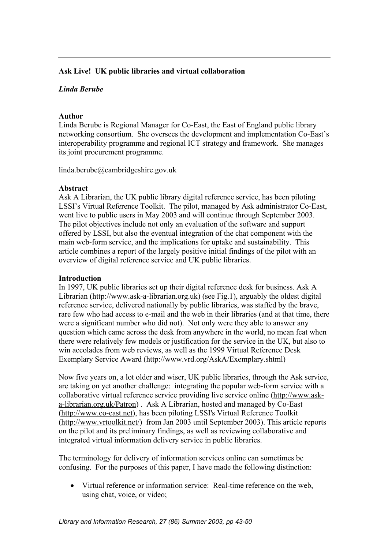## **Ask Live! UK public libraries and virtual collaboration**

## *Linda Berube*

### **Author**

Linda Berube is Regional Manager for Co-East, the East of England public library networking consortium. She oversees the development and implementation Co-East's interoperability programme and regional ICT strategy and framework. She manages its joint procurement programme.

linda.berube@cambridgeshire.gov.uk

## **Abstract**

Ask A Librarian, the UK public library digital reference service, has been piloting LSSI's Virtual Reference Toolkit. The pilot, managed by Ask administrator Co-East, went live to public users in May 2003 and will continue through September 2003. The pilot objectives include not only an evaluation of the software and support offered by LSSI, but also the eventual integration of the chat component with the main web-form service, and the implications for uptake and sustainability. This article combines a report of the largely positive initial findings of the pilot with an overview of digital reference service and UK public libraries.

## **Introduction**

In 1997, UK public libraries set up their digital reference desk for business. Ask A Librarian (http://www.ask-a-librarian.org.uk) (see Fig.1), arguably the oldest digital reference service, delivered nationally by public libraries, was staffed by the brave, rare few who had access to e-mail and the web in their libraries (and at that time, there were a significant number who did not). Not only were they able to answer any question which came across the desk from anywhere in the world, no mean feat when there were relatively few models or justification for the service in the UK, but also to win accolades from web reviews, as well as the 1999 Virtual Reference Desk Exemplary Service Award [\(http://www.vrd.org/AskA/Exemplary.shtml\)](http://www.vrd.org/AskA/Exemplary.shtml)

Now five years on, a lot older and wiser, UK public libraries, through the Ask service, are taking on yet another challenge: integrating the popular web-form service with a collaborative virtual reference service providing live service online [\(http://www.ask](http://www.ask-a-librarian.org.uk/Patron)[a-librarian.org.uk/Patron\)](http://www.ask-a-librarian.org.uk/Patron) . Ask A Librarian, hosted and managed by Co-East ([http://www.co-east.net](http://www.co-east.net/)), has been piloting LSSI's Virtual Reference Toolkit (<http://www.vrtoolkit.net/>) from Jan 2003 until September 2003). This article reports on the pilot and its preliminary findings, as well as reviewing collaborative and integrated virtual information delivery service in public libraries.

The terminology for delivery of information services online can sometimes be confusing. For the purposes of this paper, I have made the following distinction:

• Virtual reference or information service: Real-time reference on the web, using chat, voice, or video;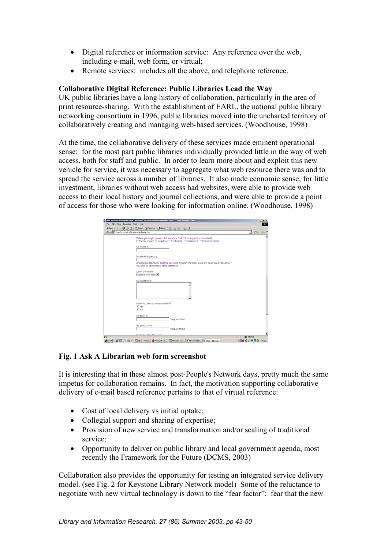- Digital reference or information service: Any reference over the web, including e-mail, web form, or virtual;
- Remote services: includes all the above, and telephone reference.

## **Collaborative Digital Reference: Public Libraries Lead the Way**

UK public libraries have a long history of collaboration, particularly in the area of print resource-sharing. With the establishment of EARL, the national public library networking consortium in 1996, public libraries moved into the uncharted territory of collaboratively creating and managing web-based services. (Woodhouse, 1998)

At the time, the collaborative delivery of these services made eminent operational sense: for the most part public libraries individually provided little in the way of web access, both for staff and public. In order to learn more about and exploit this new vehicle for service, it was necessary to aggregate what web resource there was and to spread the service across a number of libraries. It also made economic sense; for little investment, libraries without web access had websites, were able to provide web access to their local history and journal collections, and were able to provide a point of access for those who were looking for information online. (Woodhouse, 1998)

| Address (C) http://www.ask-a-librarian.org.uk/ask2.html<br>$=$ $\sqrt{60}$ Links <sup>10</sup><br>Before you begin, please click on a box ONLY if your question is related to:<br>F Family history F Legal/ Law F Medical F Computers F Homework Help<br>My name is:<br>My email address is:<br>(Please double-check that this has been typed in correctly. We can't send you a response if<br>you give us an incorrect email address)<br>Level of interest<br>Select a level here: ><br>My question is:<br>×<br>Have you sent a question before?<br>$\Gamma$ Yes<br>$\Box$ No<br>My town is:<br>* required field |  |  | 4-Bock - → - ◎ ③ △ ◎Starch 国Favorites ③Hotory   △- △ 图 - □ 回 |
|-------------------------------------------------------------------------------------------------------------------------------------------------------------------------------------------------------------------------------------------------------------------------------------------------------------------------------------------------------------------------------------------------------------------------------------------------------------------------------------------------------------------------------------------------------------------------------------------------------------------|--|--|--------------------------------------------------------------|
|                                                                                                                                                                                                                                                                                                                                                                                                                                                                                                                                                                                                                   |  |  |                                                              |
|                                                                                                                                                                                                                                                                                                                                                                                                                                                                                                                                                                                                                   |  |  |                                                              |
|                                                                                                                                                                                                                                                                                                                                                                                                                                                                                                                                                                                                                   |  |  |                                                              |
|                                                                                                                                                                                                                                                                                                                                                                                                                                                                                                                                                                                                                   |  |  |                                                              |
|                                                                                                                                                                                                                                                                                                                                                                                                                                                                                                                                                                                                                   |  |  |                                                              |
|                                                                                                                                                                                                                                                                                                                                                                                                                                                                                                                                                                                                                   |  |  |                                                              |
|                                                                                                                                                                                                                                                                                                                                                                                                                                                                                                                                                                                                                   |  |  |                                                              |
|                                                                                                                                                                                                                                                                                                                                                                                                                                                                                                                                                                                                                   |  |  |                                                              |
|                                                                                                                                                                                                                                                                                                                                                                                                                                                                                                                                                                                                                   |  |  |                                                              |
| * required field                                                                                                                                                                                                                                                                                                                                                                                                                                                                                                                                                                                                  |  |  | My postcode is:                                              |
| Machined audita Deservates<br><b>D</b> Internet                                                                                                                                                                                                                                                                                                                                                                                                                                                                                                                                                                   |  |  |                                                              |

## **Fig. 1 Ask A Librarian web form screenshot**

It is interesting that in these almost post-People's Network days, pretty much the same impetus for collaboration remains. In fact, the motivation supporting collaborative delivery of e-mail based reference pertains to that of virtual reference:

- Cost of local delivery vs initial uptake;
- Collegial support and sharing of expertise;
- Provision of new service and transformation and/or scaling of traditional service;
- Opportunity to deliver on public library and local government agenda, most recently the Framework for the Future (DCMS, 2003)

Collaboration also provides the opportunity for testing an integrated service delivery model. (see Fig. 2 for Keystone Library Network model) Some of the reluctance to negotiate with new virtual technology is down to the "fear factor": fear that the new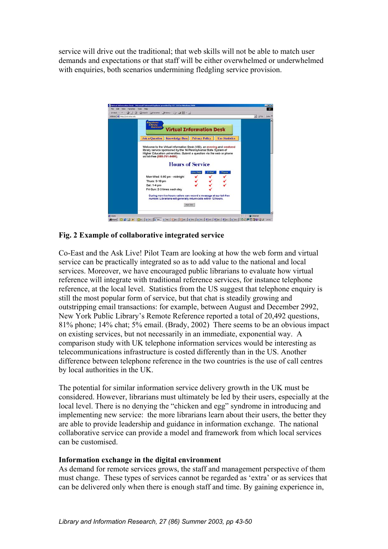service will drive out the traditional; that web skills will not be able to match user demands and expectations or that staff will be either overwhelmed or underwhelmed with enquiries, both scenarios undermining fledgling service provision.



# 98000 | 123 G C D D | 12300 | 12700 | 12700 | 12700 | 12700 | 12700 | 12700 | 12700 | 12700 | 12700 | 12700 | 1<br>19800 | 123 G C D D | 12800 | 12700 | 12700 | 12700 | 12700 | 12700 | 12700 | 12700 | 12700 | 12800 | 12800 |

#### **Fig. 2 Example of collaborative integrated service**

Co-East and the Ask Live! Pilot Team are looking at how the web form and virtual service can be practically integrated so as to add value to the national and local services. Moreover, we have encouraged public librarians to evaluate how virtual reference will integrate with traditional reference services, for instance telephone reference, at the local level. Statistics from the US suggest that telephone enquiry is still the most popular form of service, but that chat is steadily growing and outstripping email transactions: for example, between August and December 2992, New York Public Library's Remote Reference reported a total of 20,492 questions, 81% phone; 14% chat; 5% email. (Brady, 2002)There seems to be an obvious impact on existing services, but not necessarily in an immediate, exponential way. A comparison study with UK telephone information services would be interesting as telecommunications infrastructure is costed differently than in the US. Another difference between telephone reference in the two countries is the use of call centres by local authorities in the UK.

The potential for similar information service delivery growth in the UK must be considered. However, librarians must ultimately be led by their users, especially at the local level. There is no denying the "chicken and egg" syndrome in introducing and implementing new service: the more librarians learn about their users, the better they are able to provide leadership and guidance in information exchange. The national collaborative service can provide a model and framework from which local services can be customised.

#### **Information exchange in the digital environment**

As demand for remote services grows, the staff and management perspective of them must change. These types of services cannot be regarded as 'extra' or as services that can be delivered only when there is enough staff and time. By gaining experience in,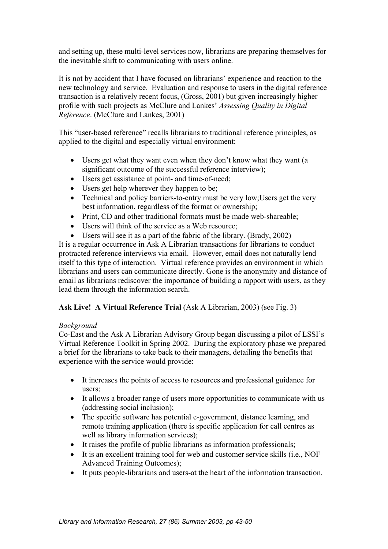and setting up, these multi-level services now, librarians are preparing themselves for the inevitable shift to communicating with users online.

It is not by accident that I have focused on librarians' experience and reaction to the new technology and service. Evaluation and response to users in the digital reference transaction is a relatively recent focus, (Gross, 2001) but given increasingly higher profile with such projects as McClure and Lankes' *Assessing Quality in Digital Reference*. (McClure and Lankes, 2001)

This "user-based reference" recalls librarians to traditional reference principles, as applied to the digital and especially virtual environment:

- Users get what they want even when they don't know what they want (a significant outcome of the successful reference interview);
- Users get assistance at point- and time-of-need;
- Users get help wherever they happen to be;
- Technical and policy barriers-to-entry must be very low; Users get the very best information, regardless of the format or ownership;
- Print, CD and other traditional formats must be made web-shareable;
- Users will think of the service as a Web resource;
- Users will see it as a part of the fabric of the library. (Brady, 2002)

It is a regular occurrence in Ask A Librarian transactions for librarians to conduct protracted reference interviews via email. However, email does not naturally lend itself to this type of interaction. Virtual reference provides an environment in which librarians and users can communicate directly. Gone is the anonymity and distance of email as librarians rediscover the importance of building a rapport with users, as they lead them through the information search.

# **Ask Live! A Virtual Reference Trial** (Ask A Librarian, 2003) (see Fig. 3)

## *Background*

Co-East and the Ask A Librarian Advisory Group began discussing a pilot of LSSI's Virtual Reference Toolkit in Spring 2002. During the exploratory phase we prepared a brief for the librarians to take back to their managers, detailing the benefits that experience with the service would provide:

- It increases the points of access to resources and professional guidance for users;
- It allows a broader range of users more opportunities to communicate with us (addressing social inclusion);
- The specific software has potential e-government, distance learning, and remote training application (there is specific application for call centres as well as library information services);
- It raises the profile of public librarians as information professionals;
- It is an excellent training tool for web and customer service skills (i.e., NOF Advanced Training Outcomes);
- It puts people-librarians and users-at the heart of the information transaction.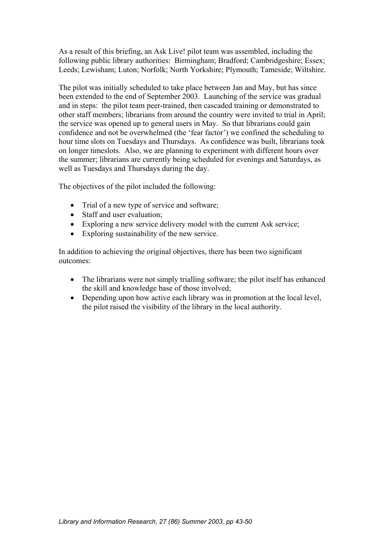As a result of this briefing, an Ask Live! pilot team was assembled, including the following public library authorities: Birmingham; Bradford; Cambridgeshire; Essex; Leeds; Lewisham; Luton; Norfolk; North Yorkshire; Plymouth; Tameside; Wiltshire.

The pilot was initially scheduled to take place between Jan and May, but has since been extended to the end of September 2003. Launching of the service was gradual and in steps: the pilot team peer-trained, then cascaded training or demonstrated to other staff members; librarians from around the country were invited to trial in April; the service was opened up to general users in May. So that librarians could gain confidence and not be overwhelmed (the 'fear factor') we confined the scheduling to hour time slots on Tuesdays and Thursdays. As confidence was built, librarians took on longer timeslots. Also, we are planning to experiment with different hours over the summer; librarians are currently being scheduled for evenings and Saturdays, as well as Tuesdays and Thursdays during the day.

The objectives of the pilot included the following:

- Trial of a new type of service and software;
- Staff and user evaluation:
- Exploring a new service delivery model with the current Ask service;
- Exploring sustainability of the new service.

In addition to achieving the original objectives, there has been two significant outcomes:

- The librarians were not simply trialling software; the pilot itself has enhanced the skill and knowledge base of those involved;
- Depending upon how active each library was in promotion at the local level, the pilot raised the visibility of the library in the local authority.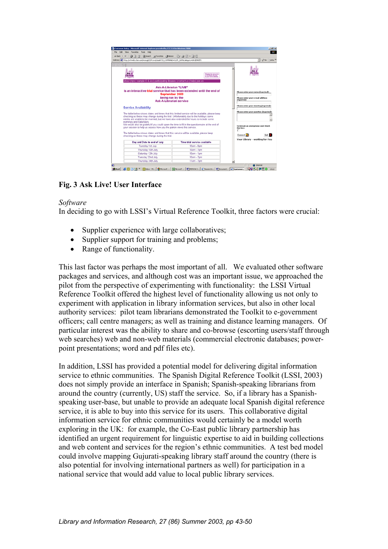| ふBook → → ● ③ ③ ③Search (@Fevorites (@History   23- ④ 図 - 回 回                                                                                                               |                                |                                                                                |                                                 |
|-----------------------------------------------------------------------------------------------------------------------------------------------------------------------------|--------------------------------|--------------------------------------------------------------------------------|-------------------------------------------------|
| Address @] http://vri-web1.kgi.com/wcscgi/CDM.exe.lukask755_COMMAND=CLIST_SUPIbCategory=LKGENREFt                                                                           |                                |                                                                                | 60 <sup>o</sup><br>$\mathbf{v}$                 |
|                                                                                                                                                                             |                                |                                                                                |                                                 |
|                                                                                                                                                                             |                                |                                                                                |                                                 |
|                                                                                                                                                                             |                                |                                                                                |                                                 |
|                                                                                                                                                                             |                                | <b>Bringing the resources</b><br>OF UK plane, Branley<br>In your home deciding |                                                 |
|                                                                                                                                                                             |                                |                                                                                |                                                 |
| bout   tips   sample Q & As   participating libraries   contact us   help   join us                                                                                         |                                |                                                                                |                                                 |
|                                                                                                                                                                             | Ask-A-Librarian "LIVE"         |                                                                                |                                                 |
| is an interactive trial service that has been extended until the end of                                                                                                     |                                |                                                                                | Please enter your name (required):              |
|                                                                                                                                                                             | <b>September 2003</b>          |                                                                                |                                                 |
|                                                                                                                                                                             | being run by the               |                                                                                | Please enter your e-mail address<br>(regained): |
|                                                                                                                                                                             | <b>Ask-A-Librarian service</b> |                                                                                |                                                 |
| <b>Service Availability</b>                                                                                                                                                 |                                |                                                                                | Please enter your Country (repaired):           |
|                                                                                                                                                                             |                                |                                                                                | Please enter your question (repaired)           |
| The table below shows dates and times that this limited service will be available, please keep                                                                              |                                |                                                                                |                                                 |
| checking as these may change during the trial. Unfortunately due to the holidays some<br>weeks are unable to be manned, but we have also extended the hours to include some |                                |                                                                                |                                                 |
| evenings and Saturdays.                                                                                                                                                     |                                |                                                                                |                                                 |
| We would also be grateful if you could spare the time to fill in the questionnaire at the end of<br>your session to help us assess how you the patron views this service.   |                                |                                                                                | To remain an anonymous user check               |
|                                                                                                                                                                             |                                |                                                                                | this base<br>г                                  |
| The table below shows dates and times that this service will be available, please keep                                                                                      |                                |                                                                                | Exit<br>Connect <b>M</b>                        |
| checking as these may change during the trial.                                                                                                                              |                                |                                                                                | Your Library - working for You                  |
| Day and Date to end of July                                                                                                                                                 |                                | Time trial service available                                                   |                                                 |
| Tuesday 1st July                                                                                                                                                            |                                | 10am - 6pm                                                                     |                                                 |
| Thursday 10th July                                                                                                                                                          |                                | 10am - 7pm                                                                     |                                                 |
| Saturday 12th July                                                                                                                                                          |                                | $10$ am - 1pm                                                                  |                                                 |
| Tuesday 22nd July                                                                                                                                                           |                                | 10am - 7pm                                                                     |                                                 |
| Thursday 24th July                                                                                                                                                          |                                | 11am - 7pm                                                                     |                                                 |

## **Fig. 3 Ask Live! User Interface**

#### *Software*

In deciding to go with LSSI's Virtual Reference Toolkit, three factors were crucial:

- Supplier experience with large collaboratives;
- Supplier support for training and problems:
- Range of functionality.

This last factor was perhaps the most important of all. We evaluated other software packages and services, and although cost was an important issue, we approached the pilot from the perspective of experimenting with functionality: the LSSI Virtual Reference Toolkit offered the highest level of functionality allowing us not only to experiment with application in library information services, but also in other local authority services: pilot team librarians demonstrated the Toolkit to e-government officers; call centre managers; as well as training and distance learning managers. Of particular interest was the ability to share and co-browse (escorting users/staff through web searches) web and non-web materials (commercial electronic databases; powerpoint presentations; word and pdf files etc).

In addition, LSSI has provided a potential model for delivering digital information service to ethnic communities. The Spanish Digital Reference Toolkit (LSSI, 2003) does not simply provide an interface in Spanish; Spanish-speaking librarians from around the country (currently, US) staff the service. So, if a library has a Spanishspeaking user-base, but unable to provide an adequate local Spanish digital reference service, it is able to buy into this service for its users. This collaborative digital information service for ethnic communities would certainly be a model worth exploring in the UK: for example, the Co-East public library partnership has identified an urgent requirement for linguistic expertise to aid in building collections and web content and services for the region's ethnic communities. A test bed model could involve mapping Gujurati-speaking library staff around the country (there is also potential for involving international partners as well) for participation in a national service that would add value to local public library services.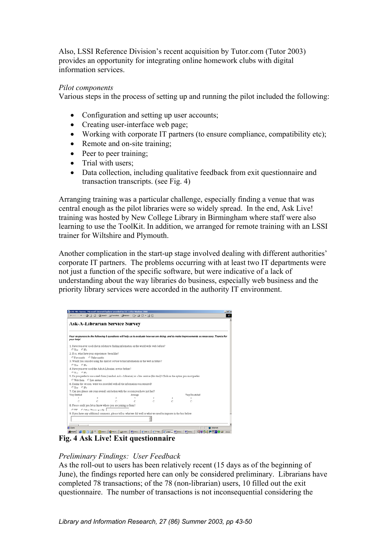Also, LSSI Reference Division's recent acquisition by Tutor.com (Tutor 2003) provides an opportunity for integrating online homework clubs with digital information services.

### *Pilot components*

Various steps in the process of setting up and running the pilot included the following:

- Configuration and setting up user accounts;
- Creating user-interface web page;
- Working with corporate IT partners (to ensure compliance, compatibility etc);
- Remote and on-site training:
- Peer to peer training;
- Trial with users;
- Data collection, including qualitative feedback from exit questionnaire and transaction transcripts. (see Fig. 4)

Arranging training was a particular challenge, especially finding a venue that was central enough as the pilot libraries were so widely spread. In the end, Ask Live! training was hosted by New College Library in Birmingham where staff were also learning to use the ToolKit. In addition, we arranged for remote training with an LSSI trainer for Wiltshire and Plymouth.

Another complication in the start-up stage involved dealing with different authorities' corporate IT partners. The problems occurring with at least two IT departments were not just a function of the specific software, but were indicative of a lack of understanding about the way libraries do business, especially web business and the priority library services were accorded in the authority IT environment.

| Your responses to the following 8 questions will help us to evaluate how we are doing, and to make improvements as necessary. Thanks for<br>1. Have you ever used chat in relation to finding information on the world wide web before?<br>CYes CNo<br>2. If so, what have your experiences been like?<br>C Favourable C Unfavourable<br>3. Would you consider using this kind of service to find information on the web in future?<br>C.Yes C.No.<br>4. Have you ever used the Ask-A-Librarian service before?<br>$C$ $Y_{C2}$ $C$ $N_0$<br>5. Do you prefer to use a web form (standard Ask a Librarian) or a live service (this trial)? Click on the option you most prefer:<br>C Web form C Live service<br>6. During the session, were you provided with all the information you required?<br>OYes ONo<br>7. Can you please rate your overall satisfaction with the session you have just had?<br>Very Satisfied<br>Very Dissatisfied<br>Average<br>$\overline{ }$<br>s<br>x<br>z<br>r<br>r<br>8. Please could you let us know where you are joining us from?<br>CITE COther Please specify<br>9. If you have any additional comments, please tell us what we did well or what we need to improve in the box below: | Ask-A-Librarian Service Survey |  |  |  |  |
|--------------------------------------------------------------------------------------------------------------------------------------------------------------------------------------------------------------------------------------------------------------------------------------------------------------------------------------------------------------------------------------------------------------------------------------------------------------------------------------------------------------------------------------------------------------------------------------------------------------------------------------------------------------------------------------------------------------------------------------------------------------------------------------------------------------------------------------------------------------------------------------------------------------------------------------------------------------------------------------------------------------------------------------------------------------------------------------------------------------------------------------------------------------------------------------------------------------------------|--------------------------------|--|--|--|--|
|                                                                                                                                                                                                                                                                                                                                                                                                                                                                                                                                                                                                                                                                                                                                                                                                                                                                                                                                                                                                                                                                                                                                                                                                                          | your help!                     |  |  |  |  |
|                                                                                                                                                                                                                                                                                                                                                                                                                                                                                                                                                                                                                                                                                                                                                                                                                                                                                                                                                                                                                                                                                                                                                                                                                          |                                |  |  |  |  |
|                                                                                                                                                                                                                                                                                                                                                                                                                                                                                                                                                                                                                                                                                                                                                                                                                                                                                                                                                                                                                                                                                                                                                                                                                          |                                |  |  |  |  |
|                                                                                                                                                                                                                                                                                                                                                                                                                                                                                                                                                                                                                                                                                                                                                                                                                                                                                                                                                                                                                                                                                                                                                                                                                          |                                |  |  |  |  |
|                                                                                                                                                                                                                                                                                                                                                                                                                                                                                                                                                                                                                                                                                                                                                                                                                                                                                                                                                                                                                                                                                                                                                                                                                          |                                |  |  |  |  |
|                                                                                                                                                                                                                                                                                                                                                                                                                                                                                                                                                                                                                                                                                                                                                                                                                                                                                                                                                                                                                                                                                                                                                                                                                          |                                |  |  |  |  |
|                                                                                                                                                                                                                                                                                                                                                                                                                                                                                                                                                                                                                                                                                                                                                                                                                                                                                                                                                                                                                                                                                                                                                                                                                          |                                |  |  |  |  |
|                                                                                                                                                                                                                                                                                                                                                                                                                                                                                                                                                                                                                                                                                                                                                                                                                                                                                                                                                                                                                                                                                                                                                                                                                          |                                |  |  |  |  |
|                                                                                                                                                                                                                                                                                                                                                                                                                                                                                                                                                                                                                                                                                                                                                                                                                                                                                                                                                                                                                                                                                                                                                                                                                          |                                |  |  |  |  |
|                                                                                                                                                                                                                                                                                                                                                                                                                                                                                                                                                                                                                                                                                                                                                                                                                                                                                                                                                                                                                                                                                                                                                                                                                          |                                |  |  |  |  |
|                                                                                                                                                                                                                                                                                                                                                                                                                                                                                                                                                                                                                                                                                                                                                                                                                                                                                                                                                                                                                                                                                                                                                                                                                          |                                |  |  |  |  |
|                                                                                                                                                                                                                                                                                                                                                                                                                                                                                                                                                                                                                                                                                                                                                                                                                                                                                                                                                                                                                                                                                                                                                                                                                          |                                |  |  |  |  |
|                                                                                                                                                                                                                                                                                                                                                                                                                                                                                                                                                                                                                                                                                                                                                                                                                                                                                                                                                                                                                                                                                                                                                                                                                          |                                |  |  |  |  |
|                                                                                                                                                                                                                                                                                                                                                                                                                                                                                                                                                                                                                                                                                                                                                                                                                                                                                                                                                                                                                                                                                                                                                                                                                          |                                |  |  |  |  |
|                                                                                                                                                                                                                                                                                                                                                                                                                                                                                                                                                                                                                                                                                                                                                                                                                                                                                                                                                                                                                                                                                                                                                                                                                          |                                |  |  |  |  |
|                                                                                                                                                                                                                                                                                                                                                                                                                                                                                                                                                                                                                                                                                                                                                                                                                                                                                                                                                                                                                                                                                                                                                                                                                          |                                |  |  |  |  |
|                                                                                                                                                                                                                                                                                                                                                                                                                                                                                                                                                                                                                                                                                                                                                                                                                                                                                                                                                                                                                                                                                                                                                                                                                          |                                |  |  |  |  |
|                                                                                                                                                                                                                                                                                                                                                                                                                                                                                                                                                                                                                                                                                                                                                                                                                                                                                                                                                                                                                                                                                                                                                                                                                          |                                |  |  |  |  |
|                                                                                                                                                                                                                                                                                                                                                                                                                                                                                                                                                                                                                                                                                                                                                                                                                                                                                                                                                                                                                                                                                                                                                                                                                          |                                |  |  |  |  |
|                                                                                                                                                                                                                                                                                                                                                                                                                                                                                                                                                                                                                                                                                                                                                                                                                                                                                                                                                                                                                                                                                                                                                                                                                          |                                |  |  |  |  |
|                                                                                                                                                                                                                                                                                                                                                                                                                                                                                                                                                                                                                                                                                                                                                                                                                                                                                                                                                                                                                                                                                                                                                                                                                          |                                |  |  |  |  |

**Fig. 4 Ask Live! Exit questionnaire** 

# *Preliminary Findings: User Feedback*

As the roll-out to users has been relatively recent (15 days as of the beginning of June), the findings reported here can only be considered preliminary. Librarians have completed 78 transactions; of the 78 (non-librarian) users, 10 filled out the exit questionnaire. The number of transactions is not inconsequential considering the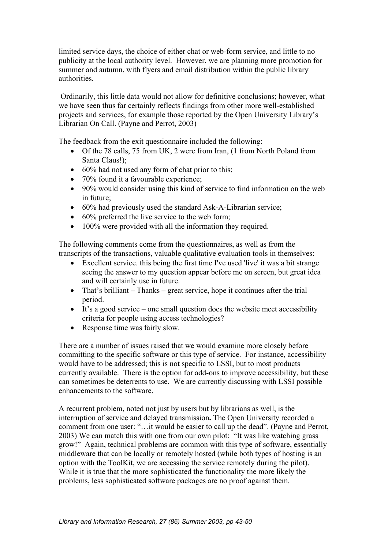limited service days, the choice of either chat or web-form service, and little to no publicity at the local authority level. However, we are planning more promotion for summer and autumn, with flyers and email distribution within the public library authorities.

 Ordinarily, this little data would not allow for definitive conclusions; however, what we have seen thus far certainly reflects findings from other more well-established projects and services, for example those reported by the Open University Library's Librarian On Call. (Payne and Perrot, 2003)

The feedback from the exit questionnaire included the following:

- Of the 78 calls, 75 from UK, 2 were from Iran, (1 from North Poland from Santa Claus!);
- 60% had not used any form of chat prior to this:
- 70% found it a favourable experience;
- 90% would consider using this kind of service to find information on the web in future;
- 60% had previously used the standard Ask-A-Librarian service;
- 60% preferred the live service to the web form;
- 100% were provided with all the information they required.

The following comments come from the questionnaires, as well as from the transcripts of the transactions, valuable qualitative evaluation tools in themselves:

- Excellent service. this being the first time I've used 'live' it was a bit strange seeing the answer to my question appear before me on screen, but great idea and will certainly use in future.
- That's brilliant Thanks great service, hope it continues after the trial period.
- It's a good service one small question does the website meet accessibility criteria for people using access technologies?
- Response time was fairly slow.

There are a number of issues raised that we would examine more closely before committing to the specific software or this type of service. For instance, accessibility would have to be addressed; this is not specific to LSSI, but to most products currently available. There is the option for add-ons to improve accessibility, but these can sometimes be deterrents to use. We are currently discussing with LSSI possible enhancements to the software.

A recurrent problem, noted not just by users but by librarians as well, is the interruption of service and delayed transmission**.** The Open University recorded a comment from one user: "…it would be easier to call up the dead". (Payne and Perrot, 2003) We can match this with one from our own pilot: "It was like watching grass grow!" Again, technical problems are common with this type of software, essentially middleware that can be locally or remotely hosted (while both types of hosting is an option with the ToolKit, we are accessing the service remotely during the pilot). While it is true that the more sophisticated the functionality the more likely the problems, less sophisticated software packages are no proof against them.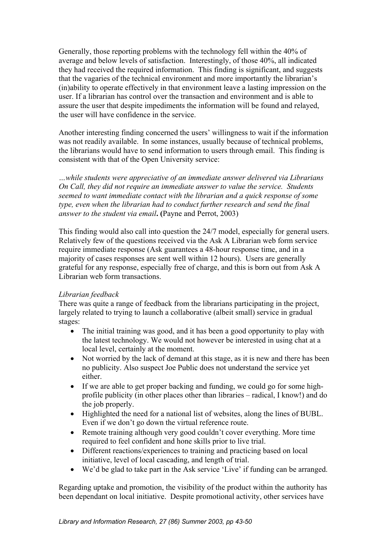Generally, those reporting problems with the technology fell within the 40% of average and below levels of satisfaction. Interestingly, of those 40%, all indicated they had received the required information. This finding is significant, and suggests that the vagaries of the technical environment and more importantly the librarian's (in)ability to operate effectively in that environment leave a lasting impression on the user. If a librarian has control over the transaction and environment and is able to assure the user that despite impediments the information will be found and relayed, the user will have confidence in the service.

Another interesting finding concerned the users' willingness to wait if the information was not readily available. In some instances, usually because of technical problems, the librarians would have to send information to users through email. This finding is consistent with that of the Open University service:

*…while students were appreciative of an immediate answer delivered via Librarians On Call, they did not require an immediate answer to value the service. Students seemed to want immediate contact with the librarian and a quick response of some type, even when the librarian had to conduct further research and send the final answer to the student via email***. (**Payne and Perrot, 2003)

This finding would also call into question the 24/7 model, especially for general users. Relatively few of the questions received via the Ask A Librarian web form service require immediate response (Ask guarantees a 48-hour response time, and in a majority of cases responses are sent well within 12 hours). Users are generally grateful for any response, especially free of charge, and this is born out from Ask A Librarian web form transactions.

## *Librarian feedback*

There was quite a range of feedback from the librarians participating in the project, largely related to trying to launch a collaborative (albeit small) service in gradual stages:

- The initial training was good, and it has been a good opportunity to play with the latest technology. We would not however be interested in using chat at a local level, certainly at the moment.
- Not worried by the lack of demand at this stage, as it is new and there has been no publicity. Also suspect Joe Public does not understand the service yet either.
- If we are able to get proper backing and funding, we could go for some highprofile publicity (in other places other than libraries – radical, I know!) and do the job properly.
- Highlighted the need for a national list of websites, along the lines of BUBL. Even if we don't go down the virtual reference route.
- Remote training although very good couldn't cover everything. More time required to feel confident and hone skills prior to live trial.
- Different reactions/experiences to training and practicing based on local initiative, level of local cascading, and length of trial.
- We'd be glad to take part in the Ask service 'Live' if funding can be arranged.

Regarding uptake and promotion, the visibility of the product within the authority has been dependant on local initiative. Despite promotional activity, other services have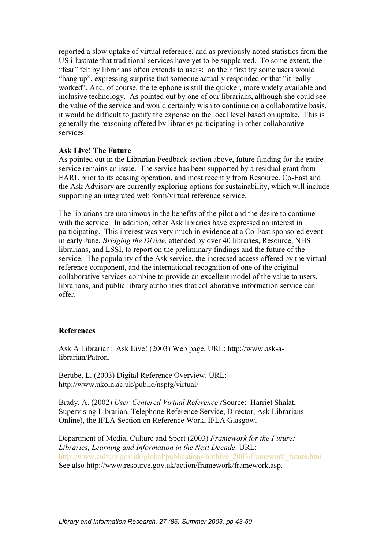reported a slow uptake of virtual reference, and as previously noted statistics from the US illustrate that traditional services have yet to be supplanted. To some extent, the "fear" felt by librarians often extends to users: on their first try some users would "hang up", expressing surprise that someone actually responded or that "it really worked". And, of course, the telephone is still the quicker, more widely available and inclusive technology. As pointed out by one of our librarians, although she could see the value of the service and would certainly wish to continue on a collaborative basis, it would be difficult to justify the expense on the local level based on uptake. This is generally the reasoning offered by libraries participating in other collaborative services.

#### **Ask Live! The Future**

As pointed out in the Librarian Feedback section above, future funding for the entire service remains an issue. The service has been supported by a residual grant from EARL prior to its ceasing operation, and most recently from Resource. Co-East and the Ask Advisory are currently exploring options for sustainability, which will include supporting an integrated web form/virtual reference service.

The librarians are unanimous in the benefits of the pilot and the desire to continue with the service. In addition, other Ask libraries have expressed an interest in participating. This interest was very much in evidence at a Co-East sponsored event in early June, *Bridging the Divide,* attended by over 40 libraries, Resource, NHS librarians, and LSSI, to report on the preliminary findings and the future of the service. The popularity of the Ask service, the increased access offered by the virtual reference component, and the international recognition of one of the original collaborative services combine to provide an excellent model of the value to users, librarians, and public library authorities that collaborative information service can offer.

#### **References**

Ask A Librarian: Ask Live! (2003) Web page. URL: [http://www.ask-a](http://www.ask-a-librarian/Patron)[librarian/Patron](http://www.ask-a-librarian/Patron).

Berube, L. (2003) Digital Reference Overview. URL: <http://www.ukoln.ac.uk/public/nsptg/virtual/>

Brady, A. (2002) *User-Centered Virtual Reference (*Source: Harriet Shalat, Supervising Librarian, Telephone Reference Service, Director, Ask Librarians Online), the IFLA Section on Reference Work, IFLA Glasgow.

Department of Media, Culture and Sport (2003) *Framework for the Future: Libraries, Learning and Information in the Next Decade*. URL: [http://www.culture.gov.uk/global/publications/archive\\_2003/framework\\_future.htm](http://www.culture.gov.uk/global/publications/archive_2003/framework_future.htm) See also [http://www.resource.gov.uk/action/framework/framework.asp.](http://www.resource.gov.uk/action/framework/framework.asp)